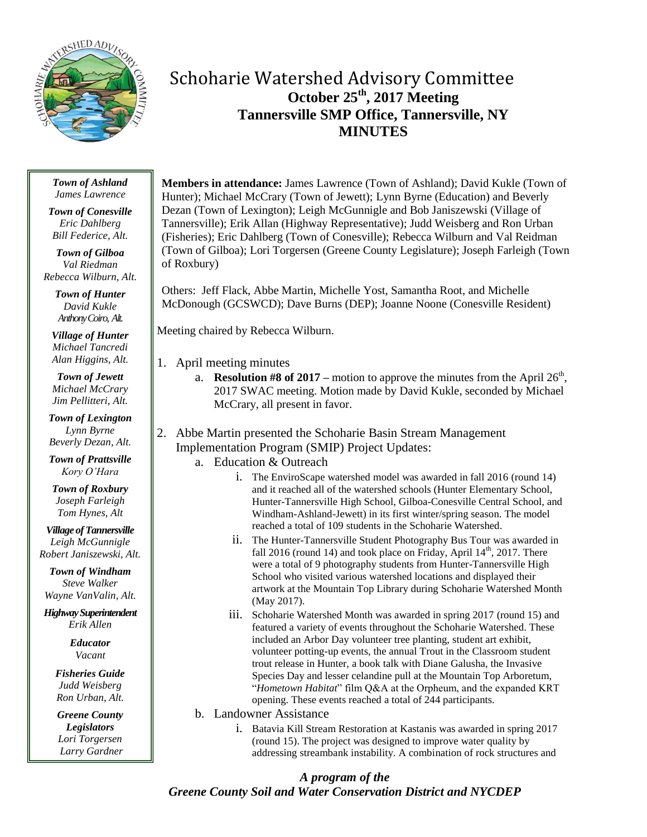

# Schoharie Watershed Advisory Committee **October 25th , 2017 Meeting Tannersville SMP Office, Tannersville, NY MINUTES**

#### *Town of Ashland James Lawrence*

*Town of Conesville Eric Dahlberg Bill Federice, Alt.*

*Town of Gilboa Val Riedman Rebecca Wilburn, Alt.*

> *Town of Hunter David Kukle Anthony Coiro, Alt.*

*Village of Hunter Michael Tancredi Alan Higgins, Alt.*

*Town of Jewett Michael McCrary Jim Pellitteri, Alt.*

*Town of Lexington Lynn Byrne Beverly Dezan, Alt.*

*Town of Prattsville Kory O'Hara*

*Town of Roxbury Joseph Farleigh Tom Hynes, Alt*

*Village of Tannersville Leigh McGunnigle Robert Janiszewski, Alt.*

*Town of Windham Steve Walker Wayne VanValin, Alt.*

*Highway Superintendent Erik Allen*

> *Educator Vacant*

*Fisheries Guide Judd Weisberg Ron Urban, Alt.*

*Greene County Legislators Lori Torgersen Larry Gardner* **Members in attendance:** James Lawrence (Town of Ashland); David Kukle (Town of Hunter); Michael McCrary (Town of Jewett); Lynn Byrne (Education) and Beverly Dezan (Town of Lexington); Leigh McGunnigle and Bob Janiszewski (Village of Tannersville); Erik Allan (Highway Representative); Judd Weisberg and Ron Urban (Fisheries); Eric Dahlberg (Town of Conesville); Rebecca Wilburn and Val Reidman (Town of Gilboa); Lori Torgersen (Greene County Legislature); Joseph Farleigh (Town of Roxbury)

Others: Jeff Flack, Abbe Martin, Michelle Yost, Samantha Root, and Michelle McDonough (GCSWCD); Dave Burns (DEP); Joanne Noone (Conesville Resident)

Meeting chaired by Rebecca Wilburn.

- 1. April meeting minutes
	- a. **Resolution #8 of 2017** motion to approve the minutes from the April  $26<sup>th</sup>$ , 2017 SWAC meeting. Motion made by David Kukle, seconded by Michael McCrary, all present in favor.
- 2. Abbe Martin presented the Schoharie Basin Stream Management Implementation Program (SMIP) Project Updates:
	- a. Education & Outreach
		- i. The EnviroScape watershed model was awarded in fall 2016 (round 14) and it reached all of the watershed schools (Hunter Elementary School, Hunter-Tannersville High School, Gilboa-Conesville Central School, and Windham-Ashland-Jewett) in its first winter/spring season. The model reached a total of 109 students in the Schoharie Watershed.
		- ii. The Hunter-Tannersville Student Photography Bus Tour was awarded in fall 2016 (round 14) and took place on Friday, April  $14<sup>th</sup>$ , 2017. There were a total of 9 photography students from Hunter-Tannersville High School who visited various watershed locations and displayed their artwork at the Mountain Top Library during Schoharie Watershed Month (May 2017).
		- iii. Schoharie Watershed Month was awarded in spring 2017 (round 15) and featured a variety of events throughout the Schoharie Watershed. These included an Arbor Day volunteer tree planting, student art exhibit, volunteer potting-up events, the annual Trout in the Classroom student trout release in Hunter, a book talk with Diane Galusha, the Invasive Species Day and lesser celandine pull at the Mountain Top Arboretum, "*Hometown Habitat*" film Q&A at the Orpheum, and the expanded KRT opening. These events reached a total of 244 participants.
	- b. Landowner Assistance
		- i. Batavia Kill Stream Restoration at Kastanis was awarded in spring 2017 (round 15). The project was designed to improve water quality by addressing streambank instability. A combination of rock structures and

## *A program of the Greene County Soil and Water Conservation District and NYCDEP*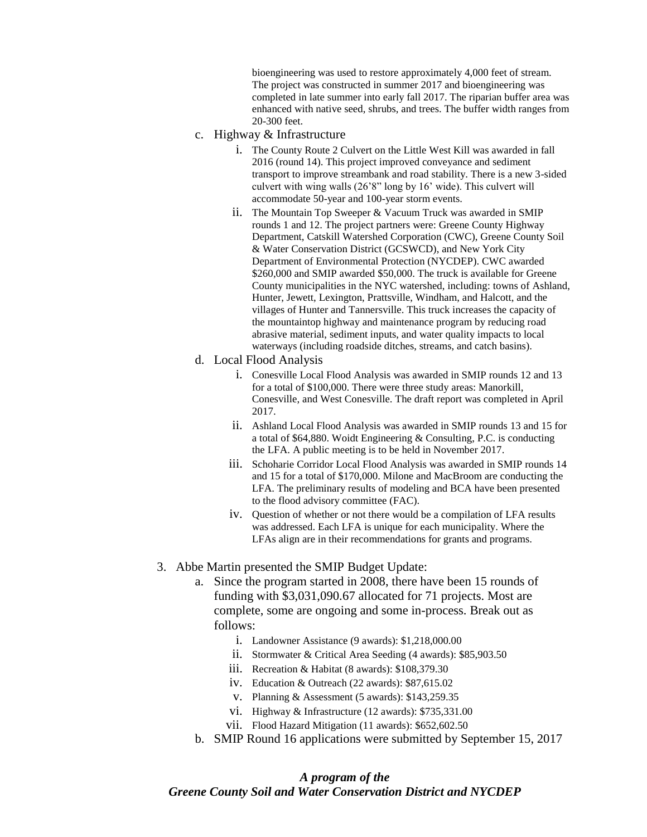bioengineering was used to restore approximately 4,000 feet of stream. The project was constructed in summer 2017 and bioengineering was completed in late summer into early fall 2017. The riparian buffer area was enhanced with native seed, shrubs, and trees. The buffer width ranges from 20-300 feet.

- c. Highway & Infrastructure
	- i. The County Route 2 Culvert on the Little West Kill was awarded in fall 2016 (round 14). This project improved conveyance and sediment transport to improve streambank and road stability. There is a new 3-sided culvert with wing walls (26'8" long by 16' wide). This culvert will accommodate 50-year and 100-year storm events.
	- ii. The Mountain Top Sweeper & Vacuum Truck was awarded in SMIP rounds 1 and 12. The project partners were: Greene County Highway Department, Catskill Watershed Corporation (CWC), Greene County Soil & Water Conservation District (GCSWCD), and New York City Department of Environmental Protection (NYCDEP). CWC awarded \$260,000 and SMIP awarded \$50,000. The truck is available for Greene County municipalities in the NYC watershed, including: towns of Ashland, Hunter, Jewett, Lexington, Prattsville, Windham, and Halcott, and the villages of Hunter and Tannersville. This truck increases the capacity of the mountaintop highway and maintenance program by reducing road abrasive material, sediment inputs, and water quality impacts to local waterways (including roadside ditches, streams, and catch basins).
- d. Local Flood Analysis
	- i. Conesville Local Flood Analysis was awarded in SMIP rounds 12 and 13 for a total of \$100,000. There were three study areas: Manorkill, Conesville, and West Conesville. The draft report was completed in April 2017.
	- ii. Ashland Local Flood Analysis was awarded in SMIP rounds 13 and 15 for a total of \$64,880. Woidt Engineering & Consulting, P.C. is conducting the LFA. A public meeting is to be held in November 2017.
	- iii. Schoharie Corridor Local Flood Analysis was awarded in SMIP rounds 14 and 15 for a total of \$170,000. Milone and MacBroom are conducting the LFA. The preliminary results of modeling and BCA have been presented to the flood advisory committee (FAC).
	- iv. Question of whether or not there would be a compilation of LFA results was addressed. Each LFA is unique for each municipality. Where the LFAs align are in their recommendations for grants and programs.
- 3. Abbe Martin presented the SMIP Budget Update:
	- a. Since the program started in 2008, there have been 15 rounds of funding with \$3,031,090.67 allocated for 71 projects. Most are complete, some are ongoing and some in-process. Break out as follows:
		- i. Landowner Assistance (9 awards): \$1,218,000.00
		- ii. Stormwater & Critical Area Seeding (4 awards): \$85,903.50
		- iii. Recreation & Habitat (8 awards): \$108,379.30
		- iv. Education & Outreach (22 awards): \$87,615.02
		- v. Planning & Assessment (5 awards): \$143,259.35
		- vi. Highway & Infrastructure (12 awards): \$735,331.00
		- vii. Flood Hazard Mitigation (11 awards): \$652,602.50
	- b. SMIP Round 16 applications were submitted by September 15, 2017

### *A program of the Greene County Soil and Water Conservation District and NYCDEP*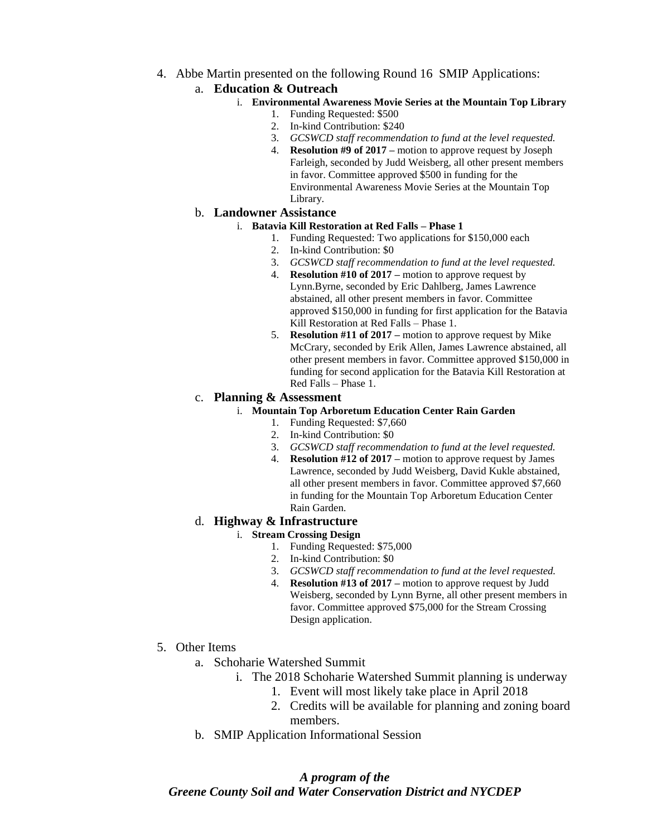4. Abbe Martin presented on the following Round 16 SMIP Applications:

## a. **Education & Outreach**

- i. **Environmental Awareness Movie Series at the Mountain Top Library**
	- 1. Funding Requested: \$500
	- 2. In-kind Contribution: \$240
	- 3. *GCSWCD staff recommendation to fund at the level requested.*
	- 4. **Resolution #9 of 2017 –** motion to approve request by Joseph Farleigh, seconded by Judd Weisberg, all other present members in favor. Committee approved \$500 in funding for the Environmental Awareness Movie Series at the Mountain Top Library.

### b. **Landowner Assistance**

#### i. **Batavia Kill Restoration at Red Falls – Phase 1**

- 1. Funding Requested: Two applications for \$150,000 each
- 2. In-kind Contribution: \$0
- 3. *GCSWCD staff recommendation to fund at the level requested.*
- 4. **Resolution #10 of 2017 –** motion to approve request by Lynn.Byrne, seconded by Eric Dahlberg, James Lawrence abstained, all other present members in favor. Committee approved \$150,000 in funding for first application for the Batavia Kill Restoration at Red Falls – Phase 1.
- 5. **Resolution #11 of 2017 –** motion to approve request by Mike McCrary, seconded by Erik Allen, James Lawrence abstained, all other present members in favor. Committee approved \$150,000 in funding for second application for the Batavia Kill Restoration at Red Falls – Phase 1.

## c. **Planning & Assessment**

- i. **Mountain Top Arboretum Education Center Rain Garden**
	- 1. Funding Requested: \$7,660
	- 2. In-kind Contribution: \$0
	- 3. *GCSWCD staff recommendation to fund at the level requested.*
	- 4. **Resolution #12 of 2017 –** motion to approve request by James Lawrence, seconded by Judd Weisberg, David Kukle abstained, all other present members in favor. Committee approved \$7,660 in funding for the Mountain Top Arboretum Education Center Rain Garden.

## d. **Highway & Infrastructure**

## i. **Stream Crossing Design**

- 1. Funding Requested: \$75,000
- 2. In-kind Contribution: \$0
- 3. *GCSWCD staff recommendation to fund at the level requested.*
- 4. **Resolution #13 of 2017 –** motion to approve request by Judd Weisberg, seconded by Lynn Byrne, all other present members in favor. Committee approved \$75,000 for the Stream Crossing Design application.
- 5. Other Items
	- a. Schoharie Watershed Summit
		- i. The 2018 Schoharie Watershed Summit planning is underway
			- 1. Event will most likely take place in April 2018
			- 2. Credits will be available for planning and zoning board members.
	- b. SMIP Application Informational Session

## *A program of the Greene County Soil and Water Conservation District and NYCDEP*